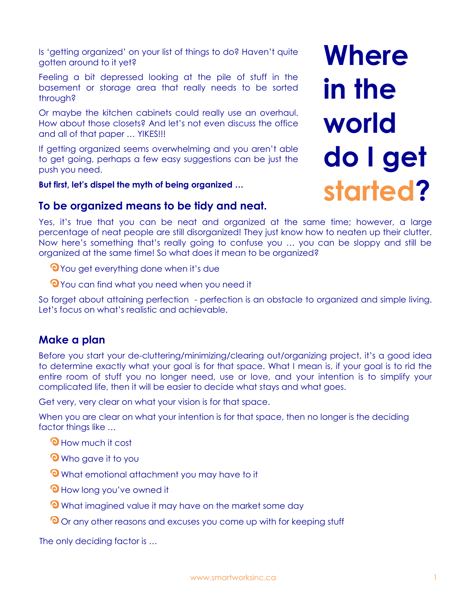Is 'getting organized' on your list of things to do? Haven't quite gotten around to it yet?

Feeling a bit depressed looking at the pile of stuff in the basement or storage area that really needs to be sorted through?

Or maybe the kitchen cabinets could really use an overhaul. How about those closets? And let's not even discuss the office and all of that paper … YIKES!!!

If getting organized seems overwhelming and you aren't able to get going, perhaps a few easy suggestions can be just the push you need.

**But first, let's dispel the myth of being organized …**

# **Where in the world do I get started?**

**To be organized means to be tidy and neat.**

Yes, it's true that you can be neat and organized at the same time; however, a large percentage of neat people are still disorganized! They just know how to neaten up their clutter. Now here's something that's really going to confuse you … you can be sloppy and still be organized at the same time! So what does it mean to be organized?

**Th** You get everything done when it's due

**O** You can find what you need when you need it

So forget about attaining perfection - perfection is an obstacle to organized and simple living. Let's focus on what's realistic and achievable.

# **Make a plan**

Before you start your de-cluttering/minimizing/clearing out/organizing project, it's a good idea to determine exactly what your goal is for that space. What I mean is, if your goal is to rid the entire room of stuff you no longer need, use or love, and your intention is to simplify your complicated life, then it will be easier to decide what stays and what goes.

Get very, very clear on what your vision is for that space.

When you are clear on what your intention is for that space, then no longer is the deciding factor things like …

- **O** How much it cost
- **O** Who gave it to you
- **O** What emotional attachment you may have to it
- **O** How long you've owned it
- **O** What imagined value it may have on the market some day
- Or any other reasons and excuses you come up with for keeping stuff

The only deciding factor is …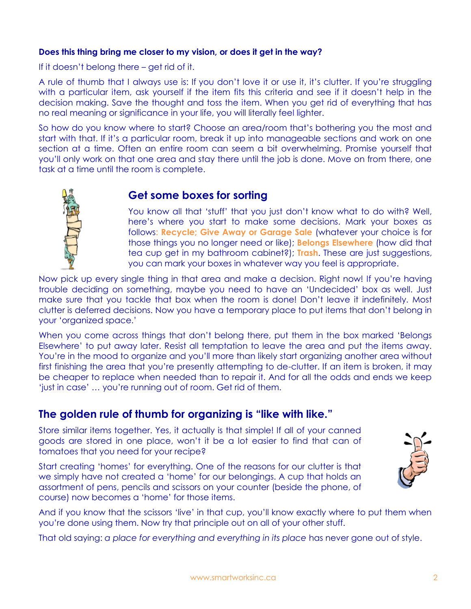### **Does this thing bring me closer to my vision, or does it get in the way?**

If it doesn't belong there – get rid of it.

A rule of thumb that I always use is: If you don't love it or use it, it's clutter. If you're struggling with a particular item, ask yourself if the item fits this criteria and see if it doesn't help in the decision making. Save the thought and toss the item. When you get rid of everything that has no real meaning or significance in your life, you will literally feel lighter.

So how do you know where to start? Choose an area/room that's bothering you the most and start with that. If it's a particular room, break it up into manageable sections and work on one section at a time. Often an entire room can seem a bit overwhelming. Promise yourself that you'll only work on that one area and stay there until the job is done. Move on from there, one task at a time until the room is complete.

# **Get some boxes for sorting**

You know all that 'stuff' that you just don't know what to do with? Well, here's where you start to make some decisions. Mark your boxes as follows: **Recycle; Give Away or Garage Sale** (whatever your choice is for those things you no longer need or like); **Belongs Elsewhere** (how did that tea cup get in my bathroom cabinet?); **Trash**. These are just suggestions, you can mark your boxes in whatever way you feel is appropriate.

Now pick up every single thing in that area and make a decision. Right now! If you're having trouble deciding on something, maybe you need to have an 'Undecided' box as well. Just make sure that you tackle that box when the room is done! Don't leave it indefinitely. Most clutter is deferred decisions. Now you have a temporary place to put items that don't belong in your 'organized space.'

When you come across things that don't belong there, put them in the box marked 'Belongs Elsewhere' to put away later. Resist all temptation to leave the area and put the items away. You're in the mood to organize and you'll more than likely start organizing another area without first finishing the area that you're presently attempting to de-clutter. If an item is broken, it may be cheaper to replace when needed than to repair it. And for all the odds and ends we keep 'just in case' … you're running out of room. Get rid of them.

# **The golden rule of thumb for organizing is "like with like."**

Store similar items together. Yes, it actually is that simple! If all of your canned goods are stored in one place, won't it be a lot easier to find that can of tomatoes that you need for your recipe?

Start creating 'homes' for everything. One of the reasons for our clutter is that we simply have not created a 'home' for our belongings. A cup that holds an assortment of pens, pencils and scissors on your counter (beside the phone, of course) now becomes a 'home' for those items.



And if you know that the scissors 'live' in that cup, you'll know exactly where to put them when you're done using them. Now try that principle out on all of your other stuff.

That old saying: *a place for everything and everything in its place* has never gone out of style.